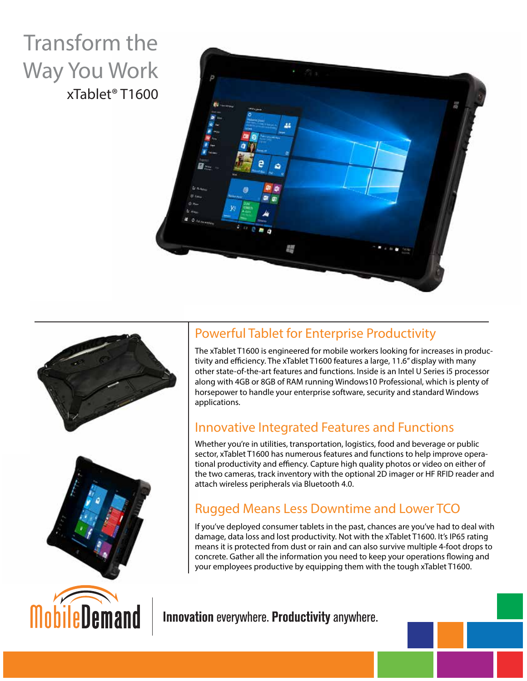## Transform the Way You Work xTablet® T1600









## Powerful Tablet for Enterprise Productivity

The xTablet T1600 is engineered for mobile workers looking for increases in productivity and efficiency. The xTablet T1600 features a large, 11.6" display with many other state-of-the-art features and functions. Inside is an Intel U Series i5 processor along with 4GB or 8GB of RAM running Windows10 Professional, which is plenty of horsepower to handle your enterprise software, security and standard Windows applications.

## Innovative Integrated Features and Functions

Whether you're in utilities, transportation, logistics, food and beverage or public sector, xTablet T1600 has numerous features and functions to help improve operational productivity and effiency. Capture high quality photos or video on either of the two cameras, track inventory with the optional 2D imager or HF RFID reader and attach wireless peripherals via Bluetooth 4.0.

## Rugged Means Less Downtime and Lower TCO

If you've deployed consumer tablets in the past, chances are you've had to deal with damage, data loss and lost productivity. Not with the xTablet T1600. It's IP65 rating means it is protected from dust or rain and can also survive multiple 4-foot drops to concrete. Gather all the information you need to keep your operations flowing and your employees productive by equipping them with the tough xTablet T1600.

Innovation everywhere. Productivity anywhere.